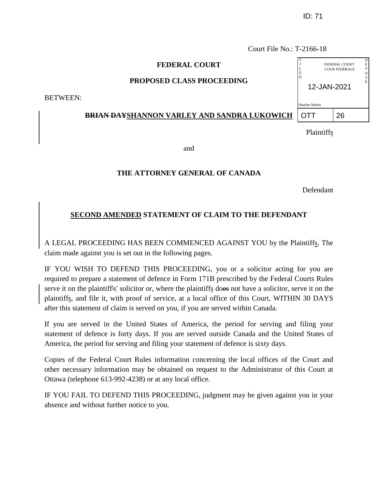Court File No.: T-2166-18

## **FEDERAL COURT**

## **PROPOSED CLASS PROCEEDING**

BETWEEN:

## **BRIAN DAYSHANNON VARLEY AND SANDRA LUKOWICH**

Plaintiffs

and

## **THE ATTORNEY GENERAL OF CANADA**

Defendant

## **SECOND AMENDED STATEMENT OF CLAIM TO THE DEFENDANT**

A LEGAL PROCEEDING HAS BEEN COMMENCED AGAINST YOU by the Plaintiffs. The claim made against you is set out in the following pages.

IF YOU WISH TO DEFEND THIS PROCEEDING, you or a solicitor acting for you are required to prepare a statement of defence in Form 171B prescribed by the Federal Courts Rules serve it on the plaintiff's' solicitor or, where the plaintiffs does not have a solicitor, serve it on the plaintiffs, and file it, with proof of service, at a local office of this Court, WITHIN 30 DAYS after this statement of claim is served on you, if you are served within Canada.

If you are served in the United States of America, the period for serving and filing your statement of defence is forty days. If you are served outside Canada and the United States of America, the period for serving and filing your statement of defence is sixty days.

Copies of the Federal Court Rules information concerning the local offices of the Court and other necessary information may be obtained on request to the Administrator of this Court at Ottawa (telephone 613-992-4238) or at any local office.

IF YOU FAIL TO DEFEND THIS PROCEEDING, judgment may be given against you in your absence and without further notice to you.

| p<br>L<br>Ē.     |  | FEDERAL COURT<br>COUR FÉDÉRALE | D<br>É<br>P<br>$\Omega$<br>S |  |
|------------------|--|--------------------------------|------------------------------|--|
| É<br>12-JAN-2021 |  |                                |                              |  |
| Shaylee Martin   |  |                                |                              |  |
|                  |  | 26                             |                              |  |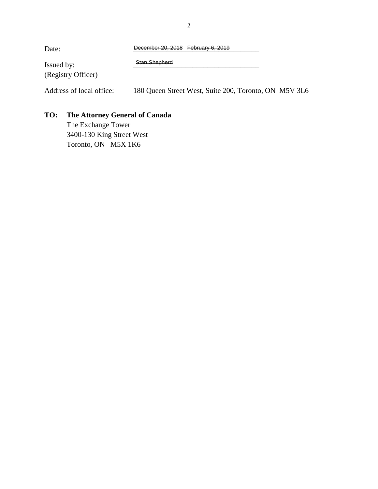| Date:                    | December 20, 2018 February 6, 2019                    |  |
|--------------------------|-------------------------------------------------------|--|
| Issued by:               | Stan Shepherd                                         |  |
| (Registry Officer)       |                                                       |  |
| Address of local office: | 180 Queen Street West, Suite 200, Toronto, ON M5V 3L6 |  |

# **TO: The Attorney General of Canada**

The Exchange Tower 3400-130 King Street West Toronto, ON M5X 1K6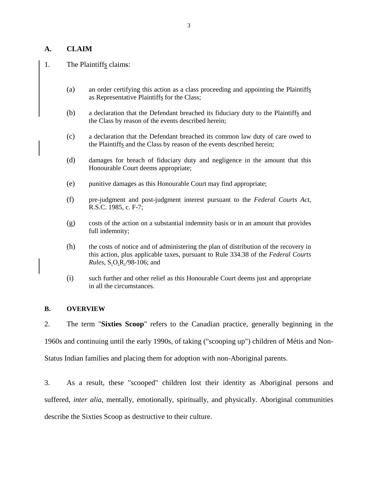## **A. CLAIM**

### 1. The Plaintiffs claims:

- (a) an order certifying this action as a class proceeding and appointing the Plaintiffs as Representative Plaintiffs for the Class;
- (b) a declaration that the Defendant breached its fiduciary duty to the Plaintiffs and the Class by reason of the events described herein;
- (c) a declaration that the Defendant breached its common law duty of care owed to the Plaintiffs and the Class by reason of the events described herein;
- (d) damages for breach of fiduciary duty and negligence in the amount that this Honourable Court deems appropriate;
- (e) punitive damages as this Honourable Court may find appropriate;
- (f) pre-judgment and post-judgment interest pursuant to the *Federal Courts Act*, R.S.C. 1985, c. F-7;
- (g) costs of the action on a substantial indemnity basis or in an amount that provides full indemnity;
- (h) the costs of notice and of administering the plan of distribution of the recovery in this action, plus applicable taxes, pursuant to Rule 334.38 of the *Federal Courts Rules*, S.O.R./98-106; and
- (i) such further and other relief as this Honourable Court deems just and appropriate in all the circumstances.

#### **B. OVERVIEW**

2. The term "**Sixties Scoop**" refers to the Canadian practice, generally beginning in the 1960s and continuing until the early 1990s, of taking ("scooping up") children of Métis and Non-Status Indian families and placing them for adoption with non-Aboriginal parents.

3. As a result, these "scooped" children lost their identity as Aboriginal persons and suffered, *inter alia*, mentally, emotionally, spiritually, and physically. Aboriginal communities describe the Sixties Scoop as destructive to their culture.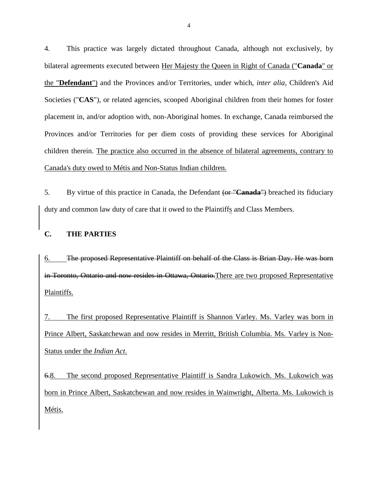4. This practice was largely dictated throughout Canada, although not exclusively, by bilateral agreements executed between Her Majesty the Queen in Right of Canada ("**Canada**" or the "**Defendant**") and the Provinces and/or Territories, under which, *inter alia*, Children's Aid Societies ("**CAS**"), or related agencies, scooped Aboriginal children from their homes for foster placement in, and/or adoption with, non-Aboriginal homes. In exchange, Canada reimbursed the Provinces and/or Territories for per diem costs of providing these services for Aboriginal children therein. The practice also occurred in the absence of bilateral agreements, contrary to Canada's duty owed to Métis and Non-Status Indian children.

5. By virtue of this practice in Canada, the Defendant (or "**Canada**") breached its fiduciary duty and common law duty of care that it owed to the Plaintiffs and Class Members.

## **C. THE PARTIES**

6. The proposed Representative Plaintiff on behalf of the Class is Brian Day. He was born in Toronto, Ontario and now resides in Ottawa, Ontario. There are two proposed Representative Plaintiffs.

7. The first proposed Representative Plaintiff is Shannon Varley. Ms. Varley was born in Prince Albert, Saskatchewan and now resides in Merritt, British Columbia. Ms. Varley is Non-Status under the *Indian Act*.

6.8. The second proposed Representative Plaintiff is Sandra Lukowich. Ms. Lukowich was born in Prince Albert, Saskatchewan and now resides in Wainwright, Alberta. Ms. Lukowich is Métis.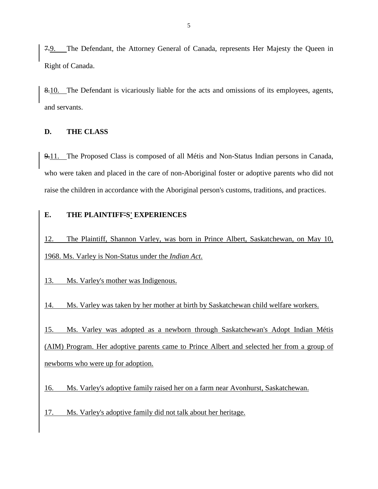7.9. The Defendant, the Attorney General of Canada, represents Her Majesty the Queen in Right of Canada.

8.10. The Defendant is vicariously liable for the acts and omissions of its employees, agents, and servants.

### **D. THE CLASS**

9.11. The Proposed Class is composed of all Métis and Non-Status Indian persons in Canada, who were taken and placed in the care of non-Aboriginal foster or adoptive parents who did not raise the children in accordance with the Aboriginal person's customs, traditions, and practices.

# **E. THE PLAINTIFF'S' EXPERIENCES**

12. The Plaintiff, Shannon Varley, was born in Prince Albert, Saskatchewan, on May 10, 1968. Ms. Varley is Non-Status under the *Indian Act*.

13. Ms. Varley's mother was Indigenous.

14. Ms. Varley was taken by her mother at birth by Saskatchewan child welfare workers.

15. Ms. Varley was adopted as a newborn through Saskatchewan's Adopt Indian Métis (AIM) Program. Her adoptive parents came to Prince Albert and selected her from a group of newborns who were up for adoption.

16. Ms. Varley's adoptive family raised her on a farm near Avonhurst, Saskatchewan.

17. Ms. Varley's adoptive family did not talk about her heritage.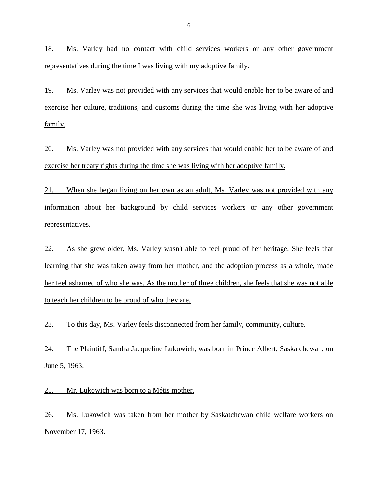18. Ms. Varley had no contact with child services workers or any other government representatives during the time I was living with my adoptive family.

19. Ms. Varley was not provided with any services that would enable her to be aware of and exercise her culture, traditions, and customs during the time she was living with her adoptive family.

20. Ms. Varley was not provided with any services that would enable her to be aware of and exercise her treaty rights during the time she was living with her adoptive family.

21. When she began living on her own as an adult, Ms. Varley was not provided with any information about her background by child services workers or any other government representatives.

22. As she grew older, Ms. Varley wasn't able to feel proud of her heritage. She feels that learning that she was taken away from her mother, and the adoption process as a whole, made her feel ashamed of who she was. As the mother of three children, she feels that she was not able to teach her children to be proud of who they are.

23. To this day, Ms. Varley feels disconnected from her family, community, culture.

24. The Plaintiff, Sandra Jacqueline Lukowich, was born in Prince Albert, Saskatchewan, on June 5, 1963.

25. Mr. Lukowich was born to a Métis mother.

26. Ms. Lukowich was taken from her mother by Saskatchewan child welfare workers on November 17, 1963.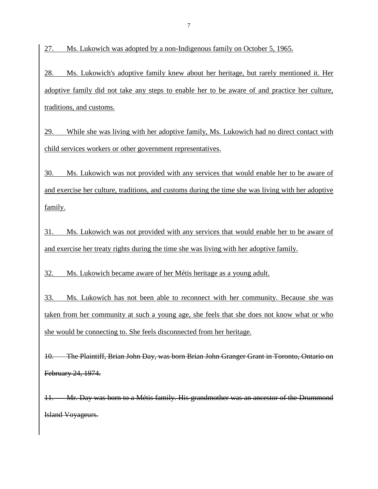27. Ms. Lukowich was adopted by a non-Indigenous family on October 5, 1965.

28. Ms. Lukowich's adoptive family knew about her heritage, but rarely mentioned it. Her adoptive family did not take any steps to enable her to be aware of and practice her culture, traditions, and customs.

29. While she was living with her adoptive family, Ms. Lukowich had no direct contact with child services workers or other government representatives.

30. Ms. Lukowich was not provided with any services that would enable her to be aware of and exercise her culture, traditions, and customs during the time she was living with her adoptive family.

31. Ms. Lukowich was not provided with any services that would enable her to be aware of and exercise her treaty rights during the time she was living with her adoptive family.

32. Ms. Lukowich became aware of her Métis heritage as a young adult.

33. Ms. Lukowich has not been able to reconnect with her community. Because she was taken from her community at such a young age, she feels that she does not know what or who she would be connecting to. She feels disconnected from her heritage.

10. The Plaintiff, Brian John Day, was born Brian John Granger Grant in Toronto, Ontario on February 24, 1974.

11. Mr. Day was born to a Métis family. His grandmother was an ancestor of the Drummond Island Voyageurs.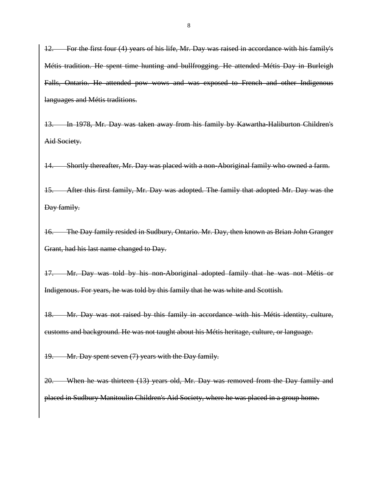12. For the first four (4) years of his life, Mr. Day was raised in accordance with his family's Métis tradition. He spent time hunting and bullfrogging. He attended Métis Day in Burleigh Falls, Ontario. He attended pow wows and was exposed to French and other Indigenous languages and Métis traditions.

13. In 1978, Mr. Day was taken away from his family by Kawartha-Haliburton Children's Aid Society.

14. Shortly thereafter, Mr. Day was placed with a non-Aboriginal family who owned a farm.

15. After this first family, Mr. Day was adopted. The family that adopted Mr. Day was the Day family.

16. The Day family resided in Sudbury, Ontario. Mr. Day, then known as Brian John Granger Grant, had his last name changed to Day.

17. Mr. Day was told by his non-Aboriginal adopted family that he was not Métis or Indigenous. For years, he was told by this family that he was white and Scottish.

18. Mr. Day was not raised by this family in accordance with his Métis identity, culture, customs and background. He was not taught about his Métis heritage, culture, or language.

19. Mr. Day spent seven (7) years with the Day family.

20. When he was thirteen (13) years old, Mr. Day was removed from the Day family and placed in Sudbury Manitoulin Children's Aid Society, where he was placed in a group home.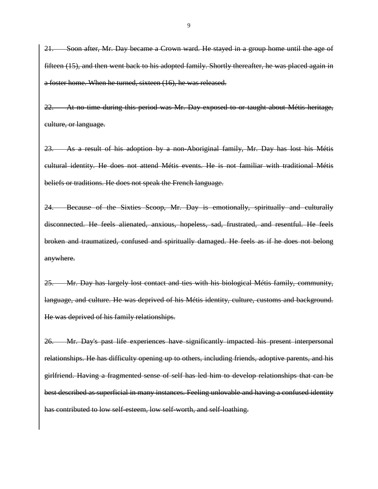21. Soon after, Mr. Day became a Crown ward. He stayed in a group home until the age of fifteen (15), and then went back to his adopted family. Shortly thereafter, he was placed again in a foster home. When he turned, sixteen (16), he was released.

22. At no time during this period was Mr. Day exposed to or taught about Métis heritage, culture, or language.

23. As a result of his adoption by a non-Aboriginal family, Mr. Day has lost his Métis cultural identity. He does not attend Métis events. He is not familiar with traditional Métis beliefs or traditions. He does not speak the French language.

24. Because of the Sixties Scoop, Mr. Day is emotionally, spiritually and culturally disconnected. He feels alienated, anxious, hopeless, sad, frustrated, and resentful. He feels broken and traumatized, confused and spiritually damaged. He feels as if he does not belong anywhere.

25. Mr. Day has largely lost contact and ties with his biological Métis family, community, language, and culture. He was deprived of his Métis identity, culture, customs and background. He was deprived of his family relationships.

26. Mr. Day's past life experiences have significantly impacted his present interpersonal relationships. He has difficulty opening up to others, including friends, adoptive parents, and his girlfriend. Having a fragmented sense of self has led him to develop relationships that can be best described as superficial in many instances. Feeling unlovable and having a confused identity has contributed to low self-esteem, low self-worth, and self-loathing.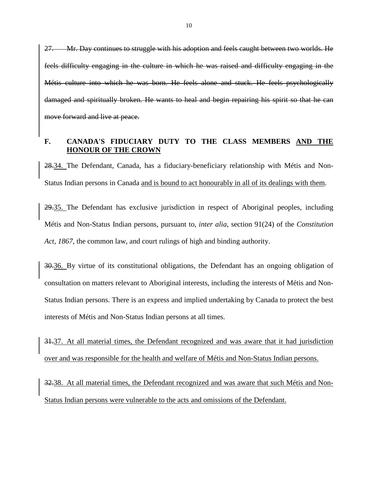27. Mr. Day continues to struggle with his adoption and feels caught between two worlds. He feels difficulty engaging in the culture in which he was raised and difficulty engaging in the Métis culture into which he was born. He feels alone and stuck. He feels psychologically damaged and spiritually broken. He wants to heal and begin repairing his spirit so that he can move forward and live at peace.

#### **F. CANADA'S FIDUCIARY DUTY TO THE CLASS MEMBERS AND THE HONOUR OF THE CROWN**

28.34. The Defendant, Canada, has a fiduciary-beneficiary relationship with Métis and Non-Status Indian persons in Canada and is bound to act honourably in all of its dealings with them.

29.35. The Defendant has exclusive jurisdiction in respect of Aboriginal peoples, including Métis and Non-Status Indian persons, pursuant to, *inter alia*, section 91(24) of the *Constitution Act, 1867*, the common law, and court rulings of high and binding authority.

30.36. By virtue of its constitutional obligations, the Defendant has an ongoing obligation of consultation on matters relevant to Aboriginal interests, including the interests of Métis and Non-Status Indian persons. There is an express and implied undertaking by Canada to protect the best interests of Métis and Non-Status Indian persons at all times.

31.37. At all material times, the Defendant recognized and was aware that it had jurisdiction over and was responsible for the health and welfare of Métis and Non-Status Indian persons.

32.38. At all material times, the Defendant recognized and was aware that such Métis and Non-Status Indian persons were vulnerable to the acts and omissions of the Defendant.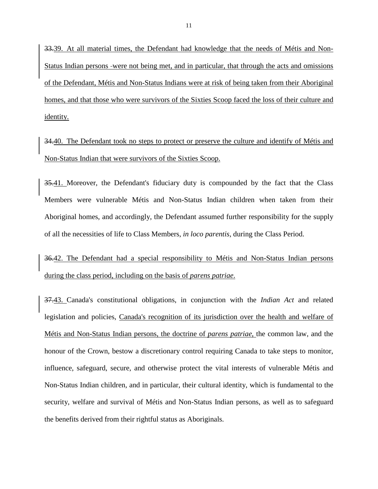33.39. At all material times, the Defendant had knowledge that the needs of Métis and Non-Status Indian persons -were not being met, and in particular, that through the acts and omissions of the Defendant, Métis and Non-Status Indians were at risk of being taken from their Aboriginal homes, and that those who were survivors of the Sixties Scoop faced the loss of their culture and identity.

34.40. The Defendant took no steps to protect or preserve the culture and identify of Métis and Non-Status Indian that were survivors of the Sixties Scoop.

35.41. Moreover, the Defendant's fiduciary duty is compounded by the fact that the Class Members were vulnerable Métis and Non-Status Indian children when taken from their Aboriginal homes, and accordingly, the Defendant assumed further responsibility for the supply of all the necessities of life to Class Members, *in loco parentis*, during the Class Period.

36.42. The Defendant had a special responsibility to Métis and Non-Status Indian persons during the class period, including on the basis of *parens patriae*.

37.43. Canada's constitutional obligations, in conjunction with the *Indian Act* and related legislation and policies, Canada's recognition of its jurisdiction over the health and welfare of Métis and Non-Status Indian persons, the doctrine of *parens patriae*, the common law, and the honour of the Crown, bestow a discretionary control requiring Canada to take steps to monitor, influence, safeguard, secure, and otherwise protect the vital interests of vulnerable Métis and Non-Status Indian children, and in particular, their cultural identity, which is fundamental to the security, welfare and survival of Métis and Non-Status Indian persons, as well as to safeguard the benefits derived from their rightful status as Aboriginals.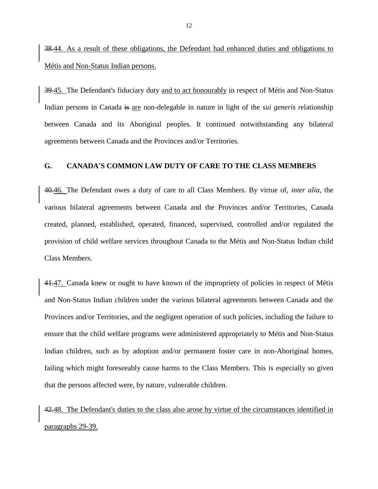38.44. As a result of these obligations, the Defendant had enhanced duties and obligations to Métis and Non-Status Indian persons.

39.45. The Defendant's fiduciary duty and to act honourably in respect of Métis and Non-Status Indian persons in Canada is are non-delegable in nature in light of the *sui generis* relationship between Canada and its Aboriginal peoples. It continued notwithstanding any bilateral agreements between Canada and the Provinces and/or Territories.

#### **G. CANADA'S COMMON LAW DUTY OF CARE TO THE CLASS MEMBERS**

40.46. The Defendant owes a duty of care to all Class Members. By virtue of, *inter alia*, the various bilateral agreements between Canada and the Provinces and/or Territories, Canada created, planned, established, operated, financed, supervised, controlled and/or regulated the provision of child welfare services throughout Canada to the Métis and Non-Status Indian child Class Members.

41.47. Canada knew or ought to have known of the impropriety of policies in respect of Métis and Non-Status Indian children under the various bilateral agreements between Canada and the Provinces and/or Territories, and the negligent operation of such policies, including the failure to ensure that the child welfare programs were administered appropriately to Métis and Non-Status Indian children, such as by adoption and/or permanent foster care in non-Aboriginal homes, failing which might foreseeably cause harms to the Class Members. This is especially so given that the persons affected were, by nature, vulnerable children.

42.48. The Defendant's duties to the class also arose by virtue of the circumstances identified in paragraphs 29-39.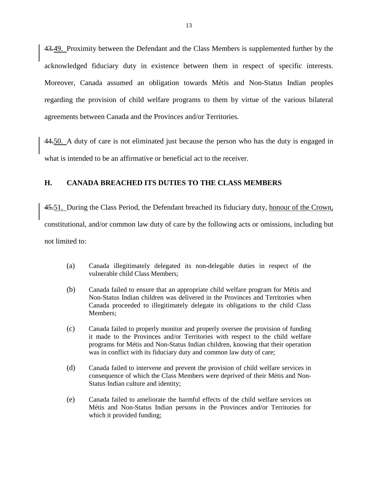43.49. Proximity between the Defendant and the Class Members is supplemented further by the acknowledged fiduciary duty in existence between them in respect of specific interests. Moreover, Canada assumed an obligation towards Métis and Non-Status Indian peoples regarding the provision of child welfare programs to them by virtue of the various bilateral agreements between Canada and the Provinces and/or Territories.

44.50. A duty of care is not eliminated just because the person who has the duty is engaged in what is intended to be an affirmative or beneficial act to the receiver.

### **H. CANADA BREACHED ITS DUTIES TO THE CLASS MEMBERS**

45.51. During the Class Period, the Defendant breached its fiduciary duty, honour of the Crown, constitutional, and/or common law duty of care by the following acts or omissions, including but not limited to:

- (a) Canada illegitimately delegated its non-delegable duties in respect of the vulnerable child Class Members;
- (b) Canada failed to ensure that an appropriate child welfare program for Métis and Non-Status Indian children was delivered in the Provinces and Territories when Canada proceeded to illegitimately delegate its obligations to the child Class Members;
- (c) Canada failed to properly monitor and properly oversee the provision of funding it made to the Provinces and/or Territories with respect to the child welfare programs for Métis and Non-Status Indian children, knowing that their operation was in conflict with its fiduciary duty and common law duty of care;
- (d) Canada failed to intervene and prevent the provision of child welfare services in consequence of which the Class Members were deprived of their Métis and Non-Status Indian culture and identity;
- (e) Canada failed to ameliorate the harmful effects of the child welfare services on Métis and Non-Status Indian persons in the Provinces and/or Territories for which it provided funding;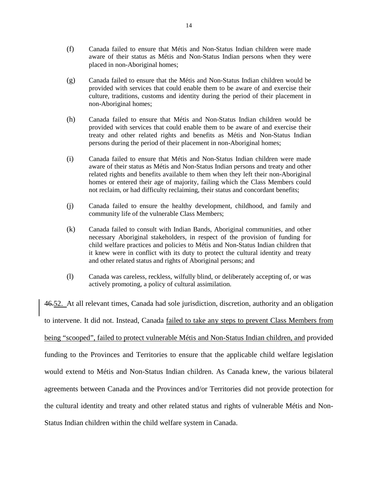- (f) Canada failed to ensure that Métis and Non-Status Indian children were made aware of their status as Métis and Non-Status Indian persons when they were placed in non-Aboriginal homes;
- (g) Canada failed to ensure that the Métis and Non-Status Indian children would be provided with services that could enable them to be aware of and exercise their culture, traditions, customs and identity during the period of their placement in non-Aboriginal homes;
- (h) Canada failed to ensure that Métis and Non-Status Indian children would be provided with services that could enable them to be aware of and exercise their treaty and other related rights and benefits as Métis and Non-Status Indian persons during the period of their placement in non-Aboriginal homes;
- (i) Canada failed to ensure that Métis and Non-Status Indian children were made aware of their status as Métis and Non-Status Indian persons and treaty and other related rights and benefits available to them when they left their non-Aboriginal homes or entered their age of majority, failing which the Class Members could not reclaim, or had difficulty reclaiming, their status and concordant benefits;
- (j) Canada failed to ensure the healthy development, childhood, and family and community life of the vulnerable Class Members;
- (k) Canada failed to consult with Indian Bands, Aboriginal communities, and other necessary Aboriginal stakeholders, in respect of the provision of funding for child welfare practices and policies to Métis and Non-Status Indian children that it knew were in conflict with its duty to protect the cultural identity and treaty and other related status and rights of Aboriginal persons; and
- (l) Canada was careless, reckless, wilfully blind, or deliberately accepting of, or was actively promoting, a policy of cultural assimilation.

46.52. At all relevant times, Canada had sole jurisdiction, discretion, authority and an obligation to intervene. It did not. Instead, Canada failed to take any steps to prevent Class Members from being "scooped", failed to protect vulnerable Métis and Non-Status Indian children, and provided funding to the Provinces and Territories to ensure that the applicable child welfare legislation would extend to Métis and Non-Status Indian children. As Canada knew, the various bilateral agreements between Canada and the Provinces and/or Territories did not provide protection for the cultural identity and treaty and other related status and rights of vulnerable Métis and Non-Status Indian children within the child welfare system in Canada.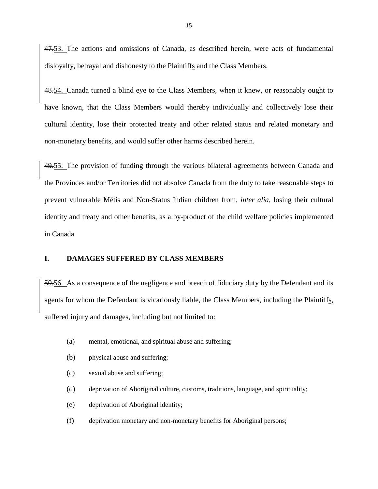47.53. The actions and omissions of Canada, as described herein, were acts of fundamental disloyalty, betrayal and dishonesty to the Plaintiffs and the Class Members.

48.54. Canada turned a blind eye to the Class Members, when it knew, or reasonably ought to have known, that the Class Members would thereby individually and collectively lose their cultural identity, lose their protected treaty and other related status and related monetary and non-monetary benefits, and would suffer other harms described herein.

49.55. The provision of funding through the various bilateral agreements between Canada and the Provinces and/or Territories did not absolve Canada from the duty to take reasonable steps to prevent vulnerable Métis and Non-Status Indian children from, *inter alia*, losing their cultural identity and treaty and other benefits, as a by-product of the child welfare policies implemented in Canada.

#### **I. DAMAGES SUFFERED BY CLASS MEMBERS**

50.56. As a consequence of the negligence and breach of fiduciary duty by the Defendant and its agents for whom the Defendant is vicariously liable, the Class Members, including the Plaintiffs, suffered injury and damages, including but not limited to:

- (a) mental, emotional, and spiritual abuse and suffering;
- (b) physical abuse and suffering;
- (c) sexual abuse and suffering;
- (d) deprivation of Aboriginal culture, customs, traditions, language, and spirituality;
- (e) deprivation of Aboriginal identity;
- (f) deprivation monetary and non-monetary benefits for Aboriginal persons;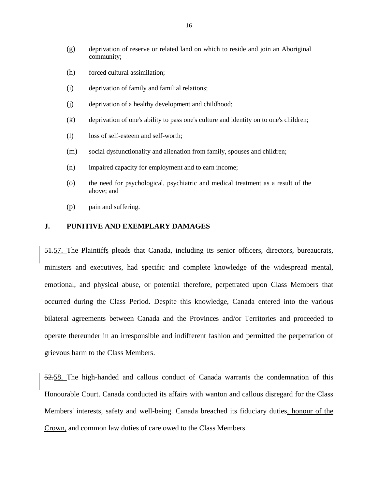- (g) deprivation of reserve or related land on which to reside and join an Aboriginal community;
- (h) forced cultural assimilation;
- (i) deprivation of family and familial relations;
- (j) deprivation of a healthy development and childhood;
- (k) deprivation of one's ability to pass one's culture and identity on to one's children;
- (l) loss of self-esteem and self-worth;
- (m) social dysfunctionality and alienation from family, spouses and children;
- (n) impaired capacity for employment and to earn income;
- (o) the need for psychological, psychiatric and medical treatment as a result of the above; and
- (p) pain and suffering.

### **J. PUNITIVE AND EXEMPLARY DAMAGES**

51.57. The Plaintiffs pleads that Canada, including its senior officers, directors, bureaucrats, ministers and executives, had specific and complete knowledge of the widespread mental, emotional, and physical abuse, or potential therefore, perpetrated upon Class Members that occurred during the Class Period. Despite this knowledge, Canada entered into the various bilateral agreements between Canada and the Provinces and/or Territories and proceeded to operate thereunder in an irresponsible and indifferent fashion and permitted the perpetration of grievous harm to the Class Members.

52.58. The high-handed and callous conduct of Canada warrants the condemnation of this Honourable Court. Canada conducted its affairs with wanton and callous disregard for the Class Members' interests, safety and well-being. Canada breached its fiduciary duties, honour of the Crown, and common law duties of care owed to the Class Members.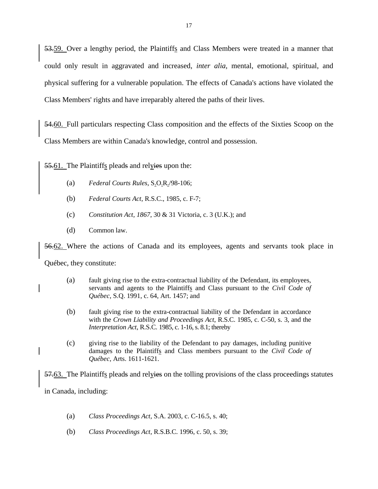53.59. Over a lengthy period, the Plaintiffs and Class Members were treated in a manner that could only result in aggravated and increased, *inter alia*, mental, emotional, spiritual, and physical suffering for a vulnerable population. The effects of Canada's actions have violated the Class Members' rights and have irreparably altered the paths of their lives.

54.60. Full particulars respecting Class composition and the effects of the Sixties Scoop on the Class Members are within Canada's knowledge, control and possession.

55.61. The Plaintiffs pleads and relyies upon the:

- (a) *Federal Courts Rules*, S.O.R./98-106;
- (b) *Federal Courts Act*, R.S.C., 1985, c. F-7;
- (c) *Constitution Act, 1867*, 30 & 31 Victoria, c. 3 (U.K.); and
- (d) Common law.

56.62. Where the actions of Canada and its employees, agents and servants took place in

Québec, they constitute:

- (a) fault giving rise to the extra-contractual liability of the Defendant, its employees, servants and agents to the Plaintiffs and Class pursuant to the *Civil Code of Québec*, S.Q. 1991, c. 64, Art. 1457; and
- (b) fault giving rise to the extra-contractual liability of the Defendant in accordance with the *Crown Liability and Proceedings Act*, R.S.C. 1985, c. C-50, s. 3, and the *Interpretation Act*, R.S.C. 1985, c. 1-16, s. 8.1; thereby
- (c) giving rise to the liability of the Defendant to pay damages, including punitive damages to the Plaintiffs and Class members pursuant to the *Civil Code of Québec*, Arts. 1611-1621.

57.63. The Plaintiffs pleads and relyies on the tolling provisions of the class proceedings statutes in Canada, including:

- (a) *Class Proceedings Act,* S.A. 2003, c. C-16.5, s. 40;
- (b) *Class Proceedings Act,* R.S.B.C. 1996, c. 50, s. 39;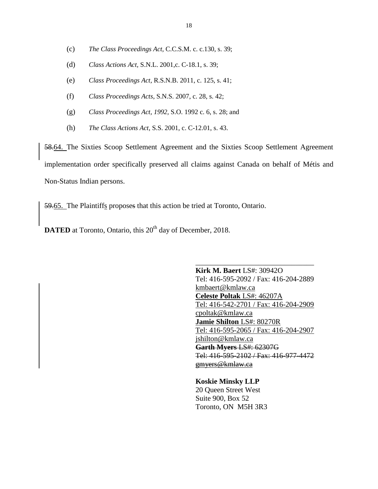- (c) *The Class Proceedings Act,* C.C.S.M. c. c.130, s. 39;
- (d) *Class Actions Act,* S.N.L. 2001,c. C-18.1, s. 39;
- (e) *Class Proceedings Act,* R.S.N.B. 2011, c. 125, s. 41;
- (f) *Class Proceedings Acts*, S.N.S. 2007, c. 28, s. 42;
- (g) *Class Proceedings Act, 1992,* S.O. 1992 c. 6, s. 28; and
- (h) *The Class Actions Act,* S.S. 2001, c. C-12.01, s. 43.

58.64. The Sixties Scoop Settlement Agreement and the Sixties Scoop Settlement Agreement implementation order specifically preserved all claims against Canada on behalf of Métis and Non-Status Indian persons.

59.65. The Plaintiffs proposes that this action be tried at Toronto, Ontario.

**DATED** at Toronto, Ontario, this 20<sup>th</sup> day of December, 2018.

**Kirk M. Baert** LS#: 30942O Tel: 416-595-2092 / Fax: 416-204-2889 kmbaert@kmlaw.ca **Celeste Poltak** LS#: 46207A Tel: 416-542-2701 / Fax: 416-204-2909 cpoltak@kmlaw.ca **Jamie Shilton** LS#: 80270R Tel: 416-595-2065 / Fax: 416-204-2907 jshilton@kmlaw.ca **Garth Myers** LS#: 62307G Tel: 416-595-2102 / Fax: 416-977-4472 gmyers@kmlaw.ca

\_\_\_\_\_\_\_\_\_\_\_\_\_\_\_\_\_\_\_\_\_\_\_\_\_\_\_\_\_\_\_\_

**Koskie Minsky LLP** 20 Queen Street West Suite 900, Box 52 Toronto, ON M5H 3R3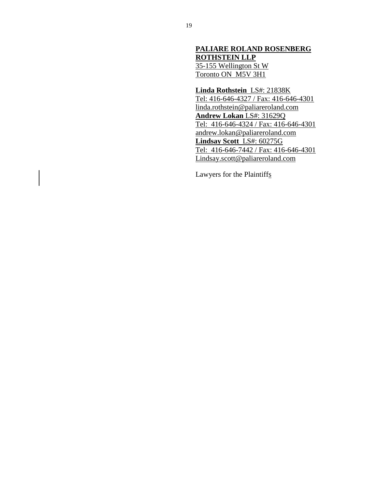## **PALIARE ROLAND ROSENBERG ROTHSTEIN LLP** 35-155 Wellington St W Toronto ON M5V 3H1

**Linda Rothstein** LS#: 21838K Tel: 416-646-4327 / Fax: 416-646-4301 linda.rothstein@paliareroland.com **Andrew Lokan** LS#: 31629Q Tel: 416-646-4324 / Fax: 416-646-4301 andrew.lokan@paliareroland.com **Lindsay Scott** LS#: 60275G Tel: 416-646-7442 / Fax: 416-646-4301 Lindsay.scott@paliareroland.com

Lawyers for the Plaintiffs